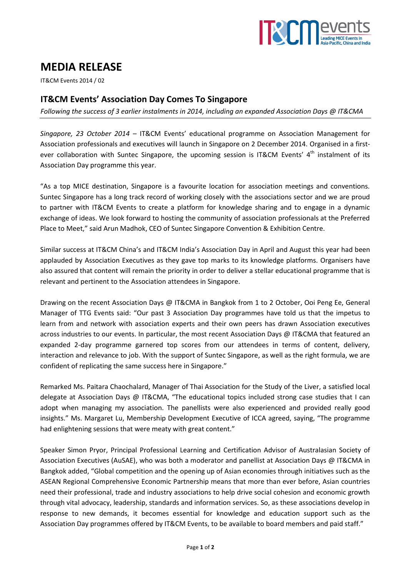

# **MEDIA RELEASE**

IT&CM Events 2014 / 02

## **IT&CM Events' Association Day Comes To Singapore**

*Following the success of 3 earlier instalments in 2014, including an expanded Association Days @ IT&CMA*

*Singapore, 23 October 2014* – IT&CM Events' educational programme on Association Management for Association professionals and executives will launch in Singapore on 2 December 2014. Organised in a firstever collaboration with Suntec Singapore, the upcoming session is IT&CM Events' 4<sup>th</sup> instalment of its Association Day programme this year.

"As a top MICE destination, Singapore is a favourite location for association meetings and conventions. Suntec Singapore has a long track record of working closely with the associations sector and we are proud to partner with IT&CM Events to create a platform for knowledge sharing and to engage in a dynamic exchange of ideas. We look forward to hosting the community of association professionals at the Preferred Place to Meet," said Arun Madhok, CEO of Suntec Singapore Convention & Exhibition Centre.

Similar success at IT&CM China's and IT&CM India's Association Day in April and August this year had been applauded by Association Executives as they gave top marks to its knowledge platforms. Organisers have also assured that content will remain the priority in order to deliver a stellar educational programme that is relevant and pertinent to the Association attendees in Singapore.

Drawing on the recent Association Days @ IT&CMA in Bangkok from 1 to 2 October, Ooi Peng Ee, General Manager of TTG Events said: "Our past 3 Association Day programmes have told us that the impetus to learn from and network with association experts and their own peers has drawn Association executives across industries to our events. In particular, the most recent Association Days @ IT&CMA that featured an expanded 2-day programme garnered top scores from our attendees in terms of content, delivery, interaction and relevance to job. With the support of Suntec Singapore, as well as the right formula, we are confident of replicating the same success here in Singapore."

Remarked Ms. Paitara Chaochalard, Manager of Thai Association for the Study of the Liver, a satisfied local delegate at Association Days @ IT&CMA, "The educational topics included strong case studies that I can adopt when managing my association. The panellists were also experienced and provided really good insights." Ms. Margaret Lu, Membership Development Executive of ICCA agreed, saying, "The programme had enlightening sessions that were meaty with great content."

Speaker Simon Pryor, Principal Professional Learning and Certification Advisor of Australasian Society of Association Executives (AuSAE), who was both a moderator and panellist at Association Days @ IT&CMA in Bangkok added, "Global competition and the opening up of Asian economies through initiatives such as the ASEAN Regional Comprehensive Economic Partnership means that more than ever before, Asian countries need their professional, trade and industry associations to help drive social cohesion and economic growth through vital advocacy, leadership, standards and information services. So, as these associations develop in response to new demands, it becomes essential for knowledge and education support such as the Association Day programmes offered by IT&CM Events, to be available to board members and paid staff."